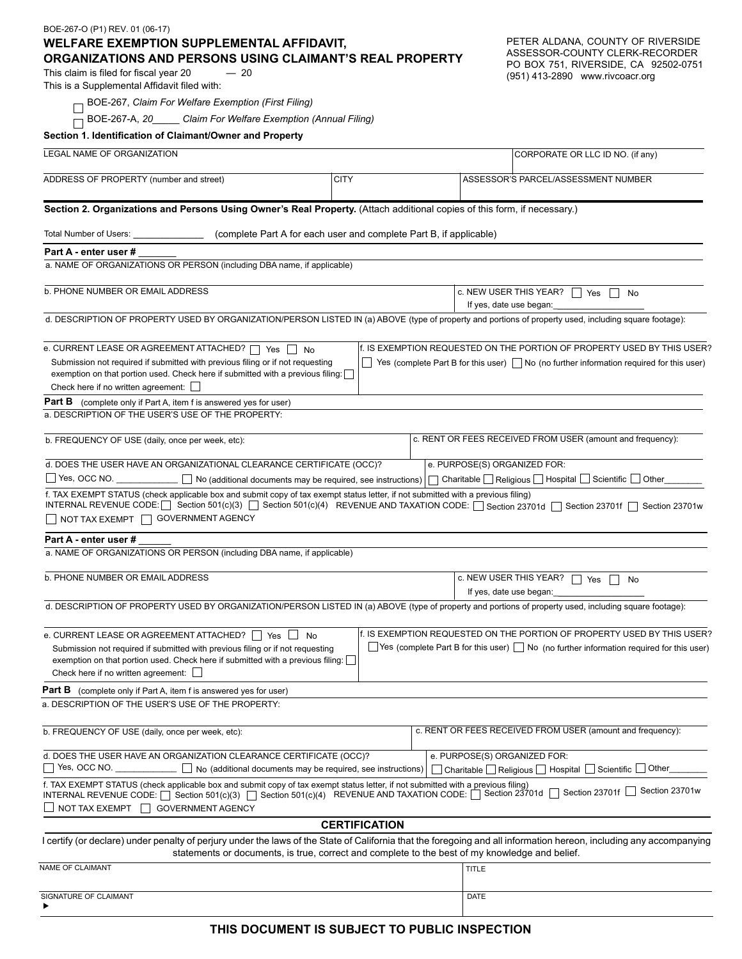| BOE-267-O (P1) REV. 01 (06-17)                                                                                                                                                                                                                                                                    |                                   |                                                                                                      |
|---------------------------------------------------------------------------------------------------------------------------------------------------------------------------------------------------------------------------------------------------------------------------------------------------|-----------------------------------|------------------------------------------------------------------------------------------------------|
| PETER ALDANA, COUNTY OF RIVERSIDE<br><b>WELFARE EXEMPTION SUPPLEMENTAL AFFIDAVIT,</b><br>ASSESSOR-COUNTY CLERK-RECORDER<br>ORGANIZATIONS AND PERSONS USING CLAIMANT'S REAL PROPERTY                                                                                                               |                                   |                                                                                                      |
| PO BOX 751, RIVERSIDE, CA 92502-0751<br>This claim is filed for fiscal year 20<br>$-20$<br>(951) 413-2890 www.rivcoacr.org<br>This is a Supplemental Affidavit filed with:                                                                                                                        |                                   |                                                                                                      |
| BOE-267, Claim For Welfare Exemption (First Filing)                                                                                                                                                                                                                                               |                                   |                                                                                                      |
| BOE-267-A, 20______ Claim For Welfare Exemption (Annual Filing)                                                                                                                                                                                                                                   |                                   |                                                                                                      |
| Section 1. Identification of Claimant/Owner and Property                                                                                                                                                                                                                                          |                                   |                                                                                                      |
| <b>LEGAL NAME OF ORGANIZATION</b>                                                                                                                                                                                                                                                                 |                                   | CORPORATE OR LLC ID NO. (if any)                                                                     |
| ADDRESS OF PROPERTY (number and street)                                                                                                                                                                                                                                                           | <b>CITY</b>                       | ASSESSOR'S PARCEL/ASSESSMENT NUMBER                                                                  |
| Section 2. Organizations and Persons Using Owner's Real Property. (Attach additional copies of this form, if necessary.)                                                                                                                                                                          |                                   |                                                                                                      |
| Total Number of Users: ___________________(complete Part A for each user and complete Part B, if applicable)                                                                                                                                                                                      |                                   |                                                                                                      |
| Part A - enter user #                                                                                                                                                                                                                                                                             |                                   |                                                                                                      |
| a. NAME OF ORGANIZATIONS OR PERSON (including DBA name, if applicable)                                                                                                                                                                                                                            |                                   |                                                                                                      |
| <b>b. PHONE NUMBER OR EMAIL ADDRESS</b>                                                                                                                                                                                                                                                           | C. NEW USER THIS YEAR?   Yes   No |                                                                                                      |
| d. DESCRIPTION OF PROPERTY USED BY ORGANIZATION/PERSON LISTED IN (a) ABOVE (type of property and portions of property used, including square footage):                                                                                                                                            |                                   |                                                                                                      |
| f. IS EXEMPTION REQUESTED ON THE PORTION OF PROPERTY USED BY THIS USER?<br>e. CURRENT LEASE OR AGREEMENT ATTACHED?   Yes   No                                                                                                                                                                     |                                   |                                                                                                      |
| Submission not required if submitted with previous filing or if not requesting<br>$\Box$ Yes (complete Part B for this user) $\Box$ No (no further information required for this user)<br>exemption on that portion used. Check here if submitted with a previous filing:                         |                                   |                                                                                                      |
| Check here if no written agreement: $\Box$                                                                                                                                                                                                                                                        |                                   |                                                                                                      |
| Part B<br>(complete only if Part A, item f is answered yes for user)                                                                                                                                                                                                                              |                                   |                                                                                                      |
| a. DESCRIPTION OF THE USER'S USE OF THE PROPERTY:                                                                                                                                                                                                                                                 |                                   |                                                                                                      |
| c. RENT OR FEES RECEIVED FROM USER (amount and frequency):<br>b. FREQUENCY OF USE (daily, once per week, etc):                                                                                                                                                                                    |                                   |                                                                                                      |
| d. DOES THE USER HAVE AN ORGANIZATIONAL CLEARANCE CERTIFICATE (OCC)?<br>e. PURPOSE(S) ORGANIZED FOR:                                                                                                                                                                                              |                                   |                                                                                                      |
| □ Yes, OCC NO. _____________ □ No (additional documents may be required, see instructions)   □ Charitable □ Religious □ Hospital □ Scientific □ Other_                                                                                                                                            |                                   |                                                                                                      |
| f. TAX EXEMPT STATUS (check applicable box and submit copy of tax exempt status letter, if not submitted with a previous filing)<br>INTERNAL REVENUE CODE: [ Section 501(c)(3) [ Section 501(c)(4) REVENUE AND TAXATION CODE: [ Section 23701d [ Section 23701f [ Section 23701f [ Section 23701w |                                   |                                                                                                      |
| NOT TAX EXEMPT   GOVERNMENT AGENCY                                                                                                                                                                                                                                                                |                                   |                                                                                                      |
| Part A - enter user #<br>a. NAME OF ORGANIZATIONS OR PERSON (including DBA name, if applicable)                                                                                                                                                                                                   |                                   |                                                                                                      |
| <b>b. PHONE NUMBER OR EMAIL ADDRESS</b>                                                                                                                                                                                                                                                           |                                   | c. NEW USER THIS YEAR? $\Box$ Yes<br>No                                                              |
|                                                                                                                                                                                                                                                                                                   |                                   | If yes, date use began:                                                                              |
| d. DESCRIPTION OF PROPERTY USED BY ORGANIZATION/PERSON LISTED IN (a) ABOVE (type of property and portions of property used, including square footage):                                                                                                                                            |                                   |                                                                                                      |
| f. IS EXEMPTION REQUESTED ON THE PORTION OF PROPERTY USED BY THIS USER?<br>e. CURRENT LEASE OR AGREEMENT ATTACHED? $\Box$ Yes $\Box$ No                                                                                                                                                           |                                   |                                                                                                      |
| Submission not required if submitted with previous filing or if not requesting<br>exemption on that portion used. Check here if submitted with a previous filing: [<br>Check here if no written agreement:                                                                                        |                                   | $\Box$ Yes (complete Part B for this user) $\Box$ No (no further information required for this user) |
| <b>Part B</b> (complete only if Part A, item f is answered yes for user)                                                                                                                                                                                                                          |                                   |                                                                                                      |
| a. DESCRIPTION OF THE USER'S USE OF THE PROPERTY:                                                                                                                                                                                                                                                 |                                   |                                                                                                      |
| b. FREQUENCY OF USE (daily, once per week, etc):                                                                                                                                                                                                                                                  |                                   | c. RENT OR FEES RECEIVED FROM USER (amount and frequency):                                           |
| e. PURPOSE(S) ORGANIZED FOR:<br>d. DOES THE USER HAVE AN ORGANIZATION CLEARANCE CERTIFICATE (OCC)?<br>□ Yes, OCC NO. ___________ □ No (additional documents may be required, see instructions)<br>□ Charitable Religious □ Hospital ■ Scientific ■ Other                                          |                                   |                                                                                                      |
| f. TAX EXEMPT STATUS (check applicable box and submit copy of tax exempt status letter, if not submitted with a previous filing)<br>Section 23701w<br>INTERNAL REVENUE CODE: [ Section 501(c)(3) [ Section 501(c)(4) REVENUE AND TAXATION CODE: [ Section 23701d [ Section 23701f                 |                                   |                                                                                                      |
| NOT TAX EXEMPT   GOVERNMENT AGENCY                                                                                                                                                                                                                                                                |                                   |                                                                                                      |
| <b>CERTIFICATION</b>                                                                                                                                                                                                                                                                              |                                   |                                                                                                      |
| I certify (or declare) under penalty of perjury under the laws of the State of California that the foregoing and all information hereon, including any accompanying<br>statements or documents, is true, correct and complete to the best of my knowledge and belief.                             |                                   |                                                                                                      |
| NAME OF CLAIMANT                                                                                                                                                                                                                                                                                  |                                   | <b>TITLE</b>                                                                                         |
| SIGNATURE OF CLAIMANT                                                                                                                                                                                                                                                                             |                                   | <b>DATE</b>                                                                                          |